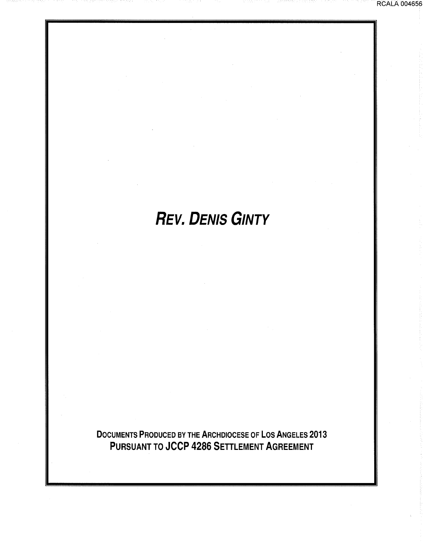# **REV. DENIS GINTY**

DOCUMENTS PRODUCED BY THE ARCHDIOCESE OF LOS ANGELES 2013 PURSUANT TO JCCP 4286 SETTLEMENT AGREEMENT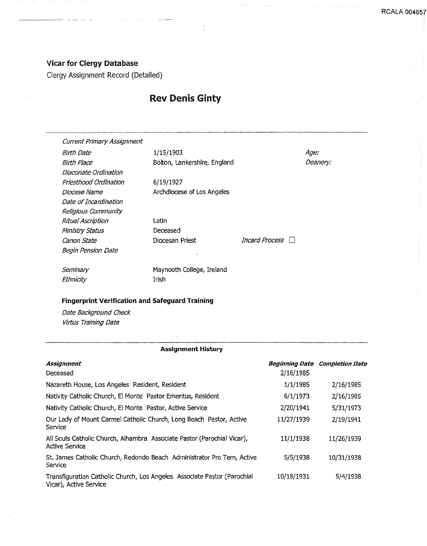#### Vicar for Clergy Database

------ ·-··--· ·--

Clergy Assignment Record (Detailed)

## Rev Denis Ginty

Current Primary Assignment

Birth Date Birth Place Diaconate Ordination Priesthood Ordination Diocese Name Date of Incardination Religious Community Ritual Ascription Ministry Status Canon State Begin Pension Date

1/15/1903 Bolton, Lankershire, England

6/19/1927 Archdiocese of Los Angeles

Latin Deceased

Diocesan Priest *Incard Process* 

Age: Deanery:

**Seminary Ethnicity** 

Maynooth College, Ireland Irish

#### Fingerprint Verification and Safeguard Training

Date Background Check Virtus Training Date

#### Assignment History

| Assignment<br>Deceased                                                                             | 2/16/1985  | <b>Beginning Date Completion Date</b> |
|----------------------------------------------------------------------------------------------------|------------|---------------------------------------|
| Nazareth House, Los Angeles Resident, Resident                                                     | 1/1/1985   | 2/16/1985                             |
| Nativity Catholic Church, El Monte Pastor Emeritus, Resident                                       | 6/1/1973   | 2/16/1985                             |
| Nativity Catholic Church, El Monte Pastor, Active Service                                          | 2/20/1941  | 5/31/1973                             |
| Our Lady of Mount Carmel Catholic Church, Long Beach Pastor, Active<br>Service                     | 11/27/1939 | 2/19/1941                             |
| All Souls Catholic Church, Alhambra Associate Pastor (Parochial Vicar),<br><b>Active Service</b>   | 11/1/1938  | 11/26/1939                            |
| St. James Catholic Church, Redondo Beach Administrator Pro Tem, Active<br>Service                  | 5/5/1938   | 10/31/1938                            |
| Transfiguration Catholic Church, Los Angeles Associate Pastor (Parochial<br>Vicar), Active Service | 10/18/1931 | 5/4/1938                              |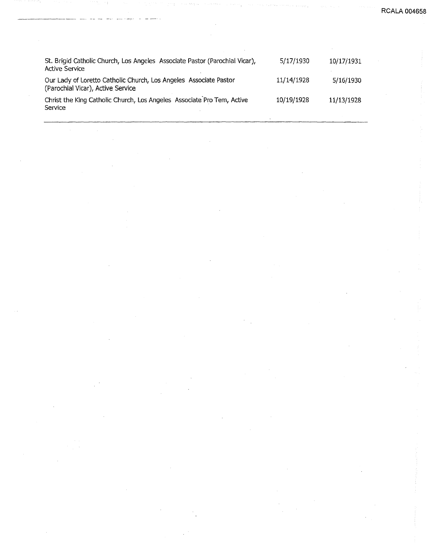**RCALA 004658** 

| St. Brigid Catholic Church, Los Angeles Associate Pastor (Parochial Vicar),<br><b>Active Service</b>   | 5/17/1930  | 10/17/1931 |
|--------------------------------------------------------------------------------------------------------|------------|------------|
| Our Lady of Loretto Catholic Church, Los Angeles Associate Pastor<br>(Parochial Vicar), Active Service | 11/14/1928 | 5/16/1930  |
| Christ the King Catholic Church, Los Angeles Associate Pro Tem, Active<br>Service                      | 10/19/1928 | 11/13/1928 |

---·-···-·-- -·· -- --- -- -·--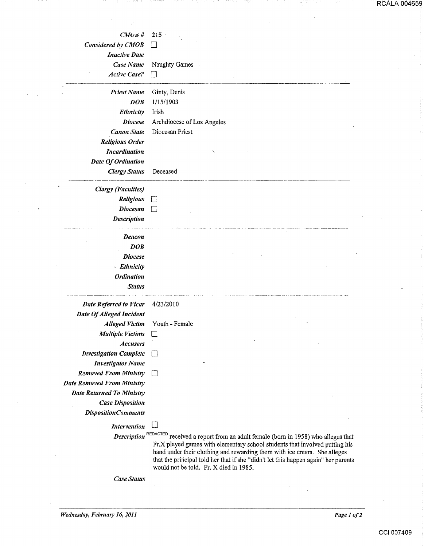| $CM$ to $#$<br>215                           |  |
|----------------------------------------------|--|
|                                              |  |
|                                              |  |
|                                              |  |
| Considered by CMOB<br>U                      |  |
| <b>Inactive Date</b>                         |  |
| Case Name<br>Naughty Games                   |  |
| <b>Active Case?</b><br>П                     |  |
| <b>Priest Name</b><br>Ginty, Denis           |  |
| 1/15/1903<br>DOB                             |  |
| Ethnicity<br>Irish                           |  |
| Archdiocese of Los Angeles<br><b>Diocese</b> |  |
| Diocesan Priest<br><b>Canon State</b>        |  |
| <b>Religious Order</b>                       |  |
| <b>Incardination</b>                         |  |
| Date Of Ordination                           |  |
| <b>Clergy Status</b><br>Deceased             |  |
| <b>Clergy</b> (Faculties)                    |  |
| Religious<br>$\mathbf{L}$                    |  |
| <b>Diocesan</b><br>$\vert \ \ \vert$         |  |
| Description                                  |  |
| Deacon                                       |  |
| DOB                                          |  |
| <b>Diocese</b>                               |  |
| · Ethnicity                                  |  |
| <b>Ordination</b>                            |  |
| <b>Status</b>                                |  |

*Date Referred to Vicar* 4/23/2010 *Date Of Alleged Incident Alleged Victim* Youth- Female *Multiple Victims* □ *Accusers Investigation Complete Investigator Name Removed From Ministry* D

*Date Removed From Ministry Date Returned To Ministry Case Dispositiou DispositionComments* 

*Intervention* []

*Description* REDACTED received a report from an adult female (born in 1958) who alleges that Fr.X played games with elementary school students that involved putting his hand under their clothing and rewarding them with ice cream. She alleges that the principal told her that if she "didn't let this happen again" her parents would not be told. Fr. X died in 1985.

*Case Status*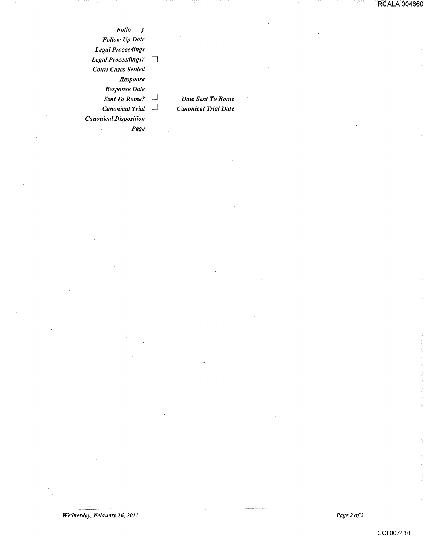*Folio p Follow Up Date Legal Proceedings* . Legal Proceedings?  $\square$ *Court Cases Settled Response Response Date Sent To Rome?* D *Canonical Trial* D *Canonical Disposition Page* 

*Date Sent To Rome Canonical Trial Date*  RCALA 004660